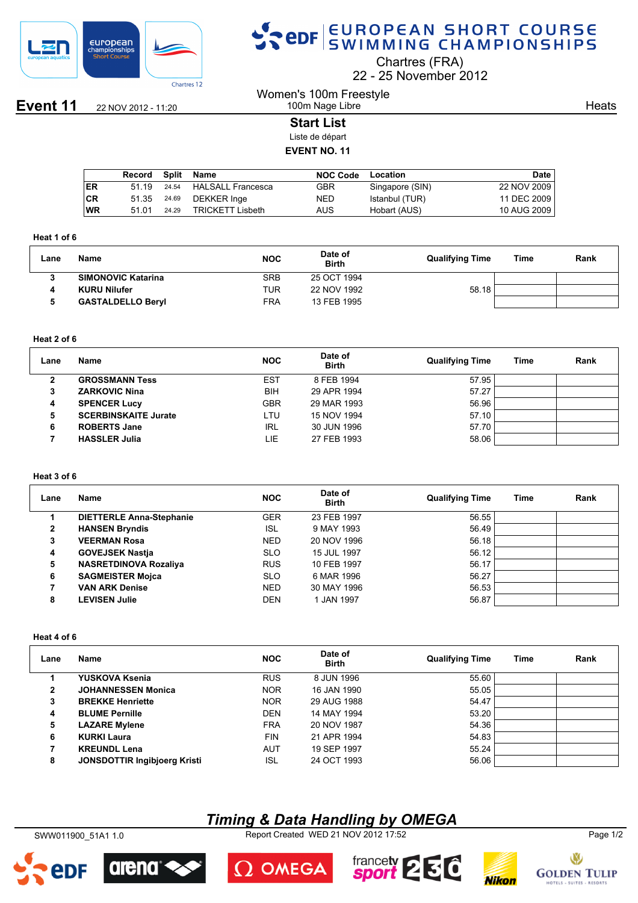

## SPOR EUROPEAN SHORT COURSE

Chartres (FRA)

22 25 November 2012

**Event 11** 22 NOV 2012 - 11:20

#### Women's 100m Freestyle 100m Nage Libre

**Heats** 

#### **Start List**

Liste de départ

#### **EVENT NO. 11**

|      | Record | Split | Name                     | <b>NOC Code</b> | Location        | <b>Date</b> |
|------|--------|-------|--------------------------|-----------------|-----------------|-------------|
| I ER | 51 19  | 24.54 | <b>HALSALL Francesca</b> | GBR             | Singapore (SIN) | 22 NOV 2009 |
| ∣CR  | 51.35  | 24.69 | DEKKER Inge              | NED             | Istanbul (TUR)  | 11 DEC 2009 |
| WR   | 51 01  | 24.29 | <b>TRICKETT Lisbeth</b>  | AUS             | Hobart (AUS)    | 10 AUG 2009 |

#### **Heat 1 of 6**

| Lane | Name                      | <b>NOC</b> | Date of<br><b>Birth</b> | <b>Qualifying Time</b> | Time | Rank |
|------|---------------------------|------------|-------------------------|------------------------|------|------|
|      | <b>SIMONOVIC Katarina</b> | <b>SRB</b> | 25 OCT 1994             |                        |      |      |
|      | <b>KURU Nilufer</b>       | TUR        | 22 NOV 1992             | 58.18                  |      |      |
|      | <b>GASTALDELLO Beryl</b>  | FRA        | 13 FEB 1995             |                        |      |      |

#### **Heat 2 of 6**

| Lane | <b>Name</b>                 | <b>NOC</b> | Date of<br><b>Birth</b> | <b>Qualifying Time</b> | Time | Rank |
|------|-----------------------------|------------|-------------------------|------------------------|------|------|
| -    | <b>GROSSMANN Tess</b>       | EST        | 8 FEB 1994              | 57.95                  |      |      |
| 3    | <b>ZARKOVIC Nina</b>        | <b>BIH</b> | 29 APR 1994             | 57.27                  |      |      |
| 4    | <b>SPENCER Lucy</b>         | <b>GBR</b> | 29 MAR 1993             | 56.96                  |      |      |
| 5    | <b>SCERBINSKAITE Jurate</b> | LTU.       | 15 NOV 1994             | 57.10                  |      |      |
| 6    | <b>ROBERTS Jane</b>         | <b>IRL</b> | 30 JUN 1996             | 57.70                  |      |      |
|      | <b>HASSLER Julia</b>        | LIE        | 27 FEB 1993             | 58.06                  |      |      |

#### **Heat 3 of 6**

| Lane         | Name                            | <b>NOC</b> | Date of<br><b>Birth</b> | <b>Qualifying Time</b> | Time | Rank |
|--------------|---------------------------------|------------|-------------------------|------------------------|------|------|
|              | <b>DIETTERLE Anna-Stephanie</b> | <b>GER</b> | 23 FEB 1997             | 56.55                  |      |      |
| $\mathbf{2}$ | <b>HANSEN Bryndis</b>           | <b>ISL</b> | 9 MAY 1993              | 56.49                  |      |      |
| 3            | <b>VEERMAN Rosa</b>             | <b>NED</b> | 20 NOV 1996             | 56.18                  |      |      |
| 4            | <b>GOVEJSEK Nastja</b>          | <b>SLO</b> | 15 JUL 1997             | 56.12                  |      |      |
| 5            | <b>NASRETDINOVA Rozaliya</b>    | <b>RUS</b> | 10 FEB 1997             | 56.17                  |      |      |
| 6            | <b>SAGMEISTER Mojca</b>         | <b>SLO</b> | 6 MAR 1996              | 56.27                  |      |      |
| 7            | <b>VAN ARK Denise</b>           | <b>NED</b> | 30 MAY 1996             | 56.53                  |      |      |
| 8            | <b>LEVISEN Julie</b>            | <b>DEN</b> | 1 JAN 1997              | 56.87                  |      |      |

#### **Heat 4 of 6**

| Lane | Name                                | <b>NOC</b> | Date of<br><b>Birth</b> | <b>Qualifying Time</b> | Time | Rank |
|------|-------------------------------------|------------|-------------------------|------------------------|------|------|
|      | YUSKOVA Ksenia                      | <b>RUS</b> | 8 JUN 1996              | 55.60                  |      |      |
| 2    | <b>JOHANNESSEN Monica</b>           | <b>NOR</b> | 16 JAN 1990             | 55.05                  |      |      |
| 3    | <b>BREKKE Henriette</b>             | <b>NOR</b> | 29 AUG 1988             | 54.47                  |      |      |
| 4    | <b>BLUME Pernille</b>               | <b>DEN</b> | 14 MAY 1994             | 53.20                  |      |      |
| 5    | <b>LAZARE Mylene</b>                | <b>FRA</b> | 20 NOV 1987             | 54.36                  |      |      |
| 6    | <b>KURKI Laura</b>                  | <b>FIN</b> | 21 APR 1994             | 54.83                  |      |      |
|      | <b>KREUNDL Lena</b>                 | AUT        | 19 SEP 1997             | 55.24                  |      |      |
| 8    | <b>JONSDOTTIR Ingibioerg Kristi</b> | <b>ISL</b> | 24 OCT 1993             | 56.06                  |      |      |

### *Timing & Data Handling by OMEGA*

SWW011900\_51A1 1.0 Report Created WED 21 NOV 2012 17:52 Page 1/2